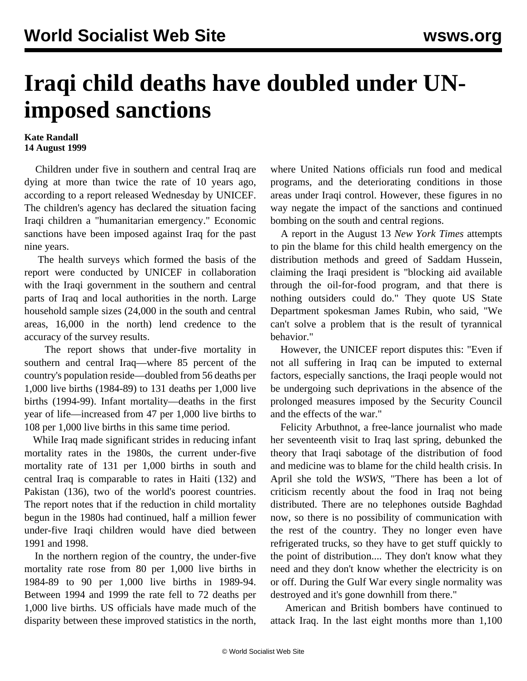## **Iraqi child deaths have doubled under UNimposed sanctions**

## **Kate Randall 14 August 1999**

 Children under five in southern and central Iraq are dying at more than twice the rate of 10 years ago, according to a report released Wednesday by UNICEF. The children's agency has declared the situation facing Iraqi children a "humanitarian emergency." Economic sanctions have been imposed against Iraq for the past nine years.

 The health surveys which formed the basis of the report were conducted by UNICEF in collaboration with the Iraqi government in the southern and central parts of Iraq and local authorities in the north. Large household sample sizes (24,000 in the south and central areas, 16,000 in the north) lend credence to the accuracy of the survey results.

 The report shows that under-five mortality in southern and central Iraq—where 85 percent of the country's population reside—doubled from 56 deaths per 1,000 live births (1984-89) to 131 deaths per 1,000 live births (1994-99). Infant mortality—deaths in the first year of life—increased from 47 per 1,000 live births to 108 per 1,000 live births in this same time period.

 While Iraq made significant strides in reducing infant mortality rates in the 1980s, the current under-five mortality rate of 131 per 1,000 births in south and central Iraq is comparable to rates in Haiti (132) and Pakistan (136), two of the world's poorest countries. The report notes that if the reduction in child mortality begun in the 1980s had continued, half a million fewer under-five Iraqi children would have died between 1991 and 1998.

 In the northern region of the country, the under-five mortality rate rose from 80 per 1,000 live births in 1984-89 to 90 per 1,000 live births in 1989-94. Between 1994 and 1999 the rate fell to 72 deaths per 1,000 live births. US officials have made much of the disparity between these improved statistics in the north, where United Nations officials run food and medical programs, and the deteriorating conditions in those areas under Iraqi control. However, these figures in no way negate the impact of the sanctions and continued bombing on the south and central regions.

 A report in the August 13 *New York Times* attempts to pin the blame for this child health emergency on the distribution methods and greed of Saddam Hussein, claiming the Iraqi president is "blocking aid available through the oil-for-food program, and that there is nothing outsiders could do." They quote US State Department spokesman James Rubin, who said, "We can't solve a problem that is the result of tyrannical behavior."

 However, the UNICEF report disputes this: "Even if not all suffering in Iraq can be imputed to external factors, especially sanctions, the Iraqi people would not be undergoing such deprivations in the absence of the prolonged measures imposed by the Security Council and the effects of the war."

 Felicity Arbuthnot, a free-lance journalist who made her seventeenth visit to Iraq last spring, debunked the theory that Iraqi sabotage of the distribution of food and medicine was to blame for the child health crisis. In April she told the *WSWS*, "There has been a lot of criticism recently about the food in Iraq not being distributed. There are no telephones outside Baghdad now, so there is no possibility of communication with the rest of the country. They no longer even have refrigerated trucks, so they have to get stuff quickly to the point of distribution.... They don't know what they need and they don't know whether the electricity is on or off. During the Gulf War every single normality was destroyed and it's gone downhill from there."

 American and British bombers have continued to attack Iraq. In the last eight months more than 1,100